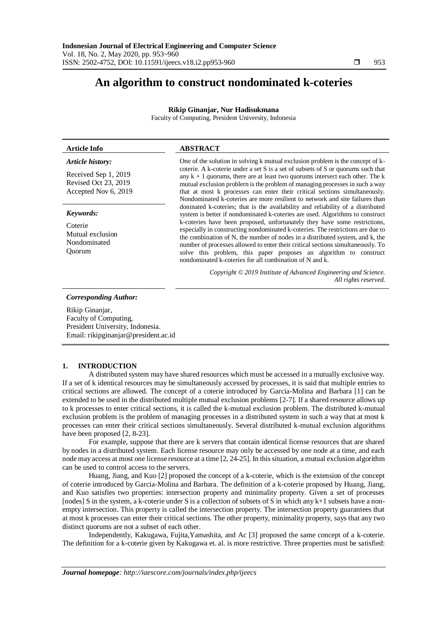# **An algorithm to construct nondominated k-coteries**

## **Rikip Ginanjar, Nur Hadisukmana**

Faculty of Computing, President University, Indonesia

| <b>Article Info</b>                                                                      | <b>ABSTRACT</b>                                                                                                                                                                                                                                                                                                                                                                                                                                                                                                                                                                                                                                                                                                                                                                                                                                                                                                                                                                                                                                                                                                                            |
|------------------------------------------------------------------------------------------|--------------------------------------------------------------------------------------------------------------------------------------------------------------------------------------------------------------------------------------------------------------------------------------------------------------------------------------------------------------------------------------------------------------------------------------------------------------------------------------------------------------------------------------------------------------------------------------------------------------------------------------------------------------------------------------------------------------------------------------------------------------------------------------------------------------------------------------------------------------------------------------------------------------------------------------------------------------------------------------------------------------------------------------------------------------------------------------------------------------------------------------------|
| Article history:<br>Received Sep 1, 2019<br>Revised Oct 23, 2019<br>Accepted Nov 6, 2019 | One of the solution in solving k mutual exclusion problem is the concept of k-<br>coterie. A k-coterie under a set S is a set of subsets of S or quorums such that<br>any $k + 1$ quorums, there are at least two quorums intersect each other. The k<br>mutual exclusion problem is the problem of managing processes in such a way<br>that at most k processes can enter their critical sections simultaneously.<br>Nondominated k-coteries are more resilient to network and site failures than<br>doninated k-coteries; that is the availability and reliability of a distributed<br>system is better if nondominated k-coteries are used. Algorithms to construct<br>k-coteries have been proposed, unfortunately they have some restrictions,<br>especially in constructing nondominated k-coteries. The restrictions are due to<br>the combination of N, the number of nodes in a distributed system, and k, the<br>number of processes allowed to enter their critical sections simultaneously. To<br>solve this problem, this paper proposes an algorithm to construct<br>nondominated k-coteries for all combination of N and k. |
| Keywords:<br>Coterie<br>Mutual exclusion<br>Nondominated<br>Ouorum                       |                                                                                                                                                                                                                                                                                                                                                                                                                                                                                                                                                                                                                                                                                                                                                                                                                                                                                                                                                                                                                                                                                                                                            |
|                                                                                          | Copyright © 2019 Institute of Advanced Engineering and Science.<br>All rights reserved.                                                                                                                                                                                                                                                                                                                                                                                                                                                                                                                                                                                                                                                                                                                                                                                                                                                                                                                                                                                                                                                    |
| <b>Corresponding Author:</b>                                                             |                                                                                                                                                                                                                                                                                                                                                                                                                                                                                                                                                                                                                                                                                                                                                                                                                                                                                                                                                                                                                                                                                                                                            |

Rikip Ginanjar, Faculty of Computing, President University, Indonesia. Email: rikipginanjar@president.ac.id

# **1. INTRODUCTION**

A distributed system may have shared resources which must be accessed in a mutually exclusive way. If a set of k identical resources may be simultaneously accessed by processes, it is said that multiple entries to critical sections are allowed. The concept of a coterie introduced by Garcia-Molina and Barbara [1] can be extended to be used in the distributed multiple mutual exclusion problems [2-7]. If a shared resource allows up to k processes to enter critical sections, it is called the k-mutual exclusion problem. The distributed k-mutual exclusion problem is the problem of managing processes in a distributed system in such a way that at most k processes can enter their critical sections simultaneously. Several distributed k-mutual exclusion algorithms have been proposed [2, 8-23].

For example, suppose that there are k servers that contain identical license resources that are shared by nodes in a distributed system. Each license resource may only be accessed by one node at a time, and each node may access at most one license resource at a time [2, 24-25]. In this situation, a mutual exclusion algorithm can be used to control access to the servers.

Huang, Jiang, and Kuo [2] proposed the concept of a k-coterie, which is the extension of the concept of coterie introduced by Garcia-Molina and Barbara. The definition of a k-coterie proposed by Huang, Jiang, and Kuo satisfies two properties: intersection property and minimality property. Given a set of processes [nodes] S in the system, a k-coterie under S is a collection of subsets of S in which any k+1 subsets have a nonempty intersection. This property is called the intersection property. The intersection property guarantees that at most k processes can enter their critical sections. The other property, minimality property, says that any two distinct quorums are not a subset of each other.

Independently, Kakugawa, Fujita,Yamashita, and Ac [3] proposed the same concept of a k-coterie. The definition for a k-coterie given by Kakugawa et. al. is more restrictive. Three properties must be satisfied: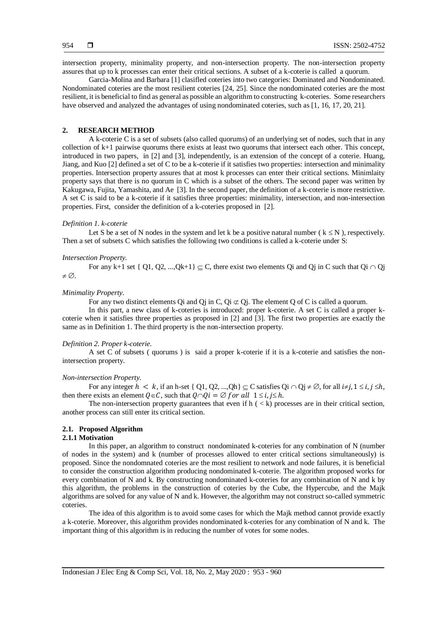intersection property, minimality property, and non-intersection property. The non-intersection property assures that up to k processes can enter their critical sections. A subset of a k-coterie is called a quorum.

Garcia-Molina and Barbara [1] clasifled coteries into two categories: Dominated and Nondominated. Nondominated coteries are the most resilient coteries [24, 25]. Since the nondominated coteries are the most resilient, it is beneficial to find as general as possible an algorithm to constructing k-coteries. Some researchers have observed and analyzed the advantages of using nondominated coteries, such as [1, 16, 17, 20, 21].

## **2. RESEARCH METHOD**

A k-coterie C is a set of subsets (also called quorums) of an underlying set of nodes, such that in any collection of k+1 pairwise quorums there exists at least two quorums that intersect each other. This concept, introduced in two papers, in [2] and [3], independently, is an extension of the concept of a coterie. Huang, Jiang, and Kuo [2] defined a set of C to be a k-coterie if it satisfies two properties: intersection and minimality properties. Intersection property assures that at most k processes can enter their critical sections. Minimlaity property says that there is no quorum in C which is a subset of the others. The second paper was written by Kakugawa, Fujita, Yamashita, and Ae [3]. In the second paper, the definition of a k-coterie is more restrictive. A set C is said to be a k-coterie if it satisfies three properties: minimality, intersection, and non-intersection properties. First, consider the definition of a k-coteries proposed in [2].

#### *Definition 1. k-coterie*

Let S be a set of N nodes in the system and let k be a positive natural number ( $k \le N$ ), respectively. Then a set of subsets C which satisfies the following two conditions is called a k-coterie under S:

#### *Intersection Property.*

For any k+1 set { Q1, Q2, ..., $Qk+1$ }  $\subset$  C, there exist two elements Qi and Qj in C such that Qi  $\cap$  Qj  $\neq \emptyset$ .

#### *Minimality Property.*

For any two distinct elements Qi and Qj in C, Qi  $\subset$  Qj. The element Q of C is called a quorum.

In this part, a new class of k-coteries is introduced: proper k-coterie. A set C is called a proper kcoterie when it satisfies three properties as proposed in [2] and [3]. The first two properties are exactly the same as in Definition 1. The third property is the non-intersection property.

#### *Definition 2. Proper k-coterie.*

A set C of subsets ( quorums ) is said a proper k-coterie if it is a k-coterie and satisfies the nonintersection property.

#### *Non-intersection Property.*

For any integer  $h < k$ , if an h-set  $\{Q_1, Q_2, ..., Q_h\} \subseteq C$  satisfies  $Q_i \cap Q_j \neq \emptyset$ , for all  $i \neq j$ ,  $1 \leq i, j \leq h$ , then there exists an element  $Q \in \mathcal{C}$ , such that  $Q \cap Qi = \emptyset$  for all  $1 \le i, j \le h$ .

The non-intersection property guarantees that even if  $h \, \langle \, \langle k \rangle$  processes are in their critical section, another process can still enter its critical section.

## **2.1. Proposed Algorithm**

## **2.1.1 Motivation**

In this paper, an algorithm to construct nondominated k-coteries for any combination of N (number of nodes in the system) and k (number of processes allowed to enter critical sections simultaneously) is proposed. Since the nondomnated coteries are the most resilient to network and node failures, it is beneficial to consider the construction algorithm producing nondominated k-coterie. The algorithm proposed works for every combination of N and k. By constructing nondominated k-coteries for any combination of N and k by this algorithm, the problems in the construction of coteries by the Cube, the Hypercube, and the Majk algorithms are solved for any value of N and k. However, the algorithm may not construct so-called symmetric coteries.

The idea of this algorithm is to avoid some cases for which the Majk method cannot provide exactly a k-coterie. Moreover, this algorithm provides nondominated k-coteries for any combination of N and k. The important thing of this algorithm is in reducing the number of votes for some nodes.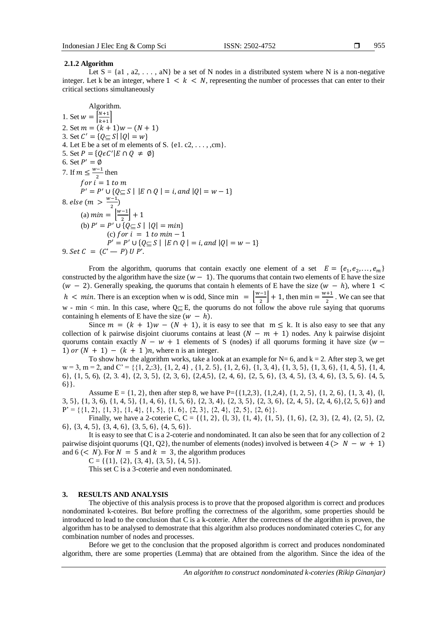955

## **2.1.2 Algorithm**

Let  $S = \{a1, a2, \ldots, aN\}$  be a set of N nodes in a distributed system where N is a non-negative integer. Let k be an integer, where  $1 \leq k \leq N$ , representing the number of processes that can enter to their critical sections simultaneously

Algorithm. 1. Set  $w = \frac{N+1}{N+1}$  $\frac{n+1}{k+1}$ 2. Set  $m = (k + 1)w - (N + 1)$ 3. Set  $C' = \{Q \subseteq S | |Q| = w\}$ 4. Let E be a set of m elements of S.  $\{e_1, e_2, \ldots, e_m\}$ . 5. Set  $P = \{Q \in C' | E \cap Q \neq \emptyset\}$ 6. Set  $P' = \emptyset$ 7. If  $m \leq \frac{w-1}{2}$  $\frac{1}{2}$  then f or  $i = 1$  to  $m$  $P' = P' \cup \{Q \subseteq S \mid |E \cap Q| = i, and |Q| = w - 1\}$ 8. else (m  $> \frac{w-1}{2}$  $\frac{-1}{2}$ (a)  $min = \frac{w-1}{2}$  $\frac{-1}{2}$  + 1 (b)  $P' = P' \cup \{Q \subseteq S \mid |Q| = min\}$ (c) for  $i = 1$  to  $min - 1$  $P' = P' \cup \{Q \subseteq S \mid |E \cap Q| = i, and |Q| = w - 1\}$ 9.  $Set C = (C' - P) U P'.$ 

From the algorithm, quorums that contain exactly one element of a set  $E = \{e_1, e_2, \dots, e_m\}$ constructed by the algorithm have the size  $(w - 1)$ . The quorums that contain two elements of E have the size  $(w - 2)$ . Generally speaking, the quorums that contain h elements of E have the size  $(w - h)$ , where 1 <  $h < min$ . There is an exception when w is odd, Since min =  $\frac{w-1}{2}$  $\left[\frac{n-1}{2}\right] + 1$ , then min =  $\frac{w+1}{2}$  $\frac{1}{2}$ . We can see that w - min  $\lt$  min. In this case, where  $Q \subseteq E$ , the quorums do not follow the above rule saying that quorums containing h elements of E have the size  $(w - h)$ .

Since  $m = (k + 1)w - (N + 1)$ , it is easy to see that  $m \le k$ . It is also easy to see that any collection of k pairwise disjoint ciuorums contains at least  $(N - m + 1)$  nodes. Any k pairwise disjoint quorums contain exactly  $N - w + 1$  elements of S (nodes) if all quorums forming it have size ( $w -$ 1) or  $(N + 1) - (k + 1)n$ , where n is an integer.

To show how the algorithm works, take a look at an example for  $N= 6$ , and  $k = 2$ . After step 3, we get  $w = 3$ ,  $m = 2$ , and  $C' = \{\{1, 2, 3\}, \{1, 2, 4\}, \{1, 2, 5\}, \{1, 2, 6\}, \{1, 3, 4\}, \{1, 3, 5\}, \{1, 3, 6\}, \{1, 4, 5\}, \{1, 4, 5\}, \{1, 4, 5\}, \{1, 4, 5\}, \{1, 4, 5\}, \{1, 4, 5\}, \{1, 4, 5\}, \{1, 4, 5\}, \{1, 4, 5\}, \{1, 4, 5\}, \{1, 4, 5$ 6}, {1, 5, 6), {2, 3. 4}, {2, 3, 5}, {2, 3, 6}, {2,4,5}, {2, 4, 6}, {2, 5, 6}, {3, 4, 5}, {3, 4, 6}, {3, 5, 6}. {4, 5, 6}}.

Assume  $E = \{1, 2\}$ , then after step 8, we have  $P = \{\{1,2,3\}, \{1,2,4\}, \{1, 2, 5\}, \{1, 2, 6\}, \{1, 3, 4\}, \{1, 4\}, \{1, 5, 6\}, \{1, 3, 4\}, \{1, 4, 5\}\}$ 3, 5}, {1, 3, 6), {1, 4, 5}, {1, 4, 6}, {1, 5, 6}, {2, 3, 4}, {2, 3, 5}, {2, 3, 6}, {2, 4, 5}, {2, 4, 6},{2, 5, 6}} and  $P' = \{\{1, 2\}, \{1, 3\}, \{1, 4\}, \{1, 5\}, \{1, 6\}, \{2, 3\}, \{2, 4\}, \{2, 5\}, \{2, 6\}\}.$ 

Finally, we have a 2-coterie C, C = {{1, 2}, {1, 3}, {1, 4}, {1, 5}, {1, 6}, {2, 3}, {2, 4}, {2, 5}, {2, 6}, {3, 4, 5}, {3, 4, 6}, {3, 5, 6}, {4, 5, 6}}.

It is easy to see that C is a 2-coterie and nondominated. It can also be seen that for any collection of 2 pairwise disjoint quorums {Q1, Q2}, the number of elements (nodes) involved is between  $4 (> N - w + 1)$ and  $6 \leq N$ ). For  $N = 5$  and  $k = 3$ , the algorithm produces

 $C = \{\{1\}, \{2\}, \{3, 4\}, \{3, 5\}, \{4, 5\}\}.$ 

This set C is a 3-coterie and even nondominated.

## **3. RESULTS AND ANALYSIS**

The objective of this analysis process is to prove that the proposed algorithm is correct and produces nondominated k-coteires. But before proffing the correctness of the algorithm, some properties should be introduced to lead to the conclusion that C is a k-coterie. After the correctness of the algorithm is proven, the algorithm has to be analysed to demostrate that this algorithm also produces nondominated coteries C, for any combination number of nodes and processes.

Before we get to the conclusion that the proposed algorithm is correct and produces nondominated algorithm, there are some properties (Lemma) that are obtained from the algorithm. Since the idea of the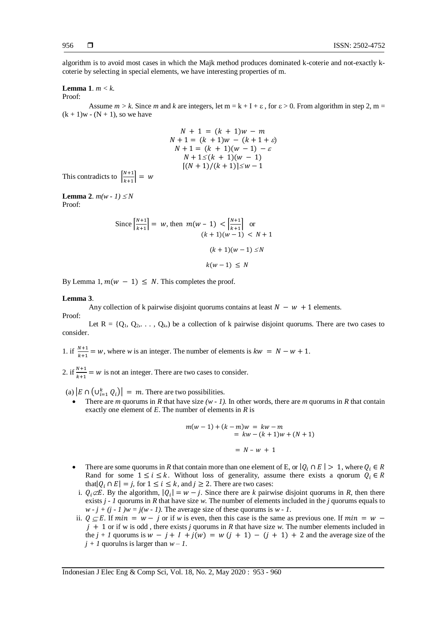algorithm is to avoid most cases in which the Majk method produces dominated k-coterie and not-exactly kcoterie by selecting in special elements, we have interesting properties of m.

# **Lemma 1**. *m < k.*

#### Proof:

Assume  $m > k$ . Since m and k are integers, let  $m = k + 1 + \varepsilon$ , for  $\varepsilon > 0$ . From algorithm in step 2, m =  $(k + 1)w - (N + 1)$ , so we have

$$
N + 1 = (k + 1)w - m
$$
  
\n
$$
N + 1 = (k + 1)w - (k + 1 + \varepsilon)
$$
  
\n
$$
N + 1 = (k + 1)(w - 1) - \varepsilon
$$
  
\n
$$
N + 1 \le (k + 1)(w - 1)
$$
  
\n
$$
[(N + 1)/(k + 1)] \le w - 1
$$

This contradicts to  $\left[\frac{N+1}{N+1}\right]$  $\left| \frac{1}{k+1} \right| = w$ 

**Lemma 2.**  $m(w - 1) \leq N$ Proof:

Since 
$$
\left| \frac{N+1}{k+1} \right| = w
$$
, then  $m(w - 1) < \left| \frac{N+1}{k+1} \right|$  or  
\n $(k+1)(w-1) < N + 1$   
\n $(k+1)(w-1) \le N$   
\n $k(w-1) \le N$ 

By Lemma 1,  $m(w - 1) \leq N$ . This completes the proof.

#### **Lemma 3**.

Any collection of k pairwise disjoint quorums contains at least  $N - w + 1$  elements. Proof:

Let  $R = \{Q_1, Q_2, \ldots, Q_k\}$  be a collection of k pairwise disjoint quorums. There are two cases to consider.

1. if  $\frac{N+1}{k+1} = w$ , where *w* is an integer. The number of elements is  $kw = N - w + 1$ .

2. if  $\frac{N+1}{k+1} = w$  is not an integer. There are two cases to consider.

(a)  $|E \cap (\bigcup_{i=1}^{k} Q_i)| = m$ . There are two possibilities.

There are *m* quorums in *R* that have size  $(w - 1)$ . In other words, there are *m* quorums in *R* that contain exactly one element of *E*. The number of elements in *R* is

$$
m(w-1) + (k-m)w = kw - m
$$
  
= kw - (k + 1)w + (N + 1)  
= N - w + 1

- There are some quorums in *R* that contain more than one element of E, or  $|Q_i \cap E| > 1$ , where  $Q_i \in R$ Rand for some  $1 \le i \le k$ . Without loss of generality, assume there exists a qnorum  $Q_i \in R$ that  $|Q_i \cap E| = j$ , for  $1 \le i \le k$ , and  $j \ge 2$ . There are two cases:
- i.  $Q_i \not\subset E$ . By the algorithm,  $|Q_i| = w j$ . Since there are *k* pairwise disjoint quorums in *R*, then there exists *j - 1* quorums in *R* that have size *w*. The number of elements included in the *j* quorums equals to  $w - j + (j - 1)w = j(w - 1)$ . The average size of these quorums is  $w - 1$ .
- ii.  $Q \subseteq E$ . If  $min = w j$  or if w is even, then this case is the same as previous one. If  $min = w j$  $j + 1$  or if w is odd, there exists *j* quorums in *R* that have size *w*. The number elements included in the  $j + 1$  quorums is  $w - j + 1 + j(w) = w(j + 1) - (j + 1) + 2$  and the average size of the  $j + 1$  quorulns is larger than  $w - 1$ .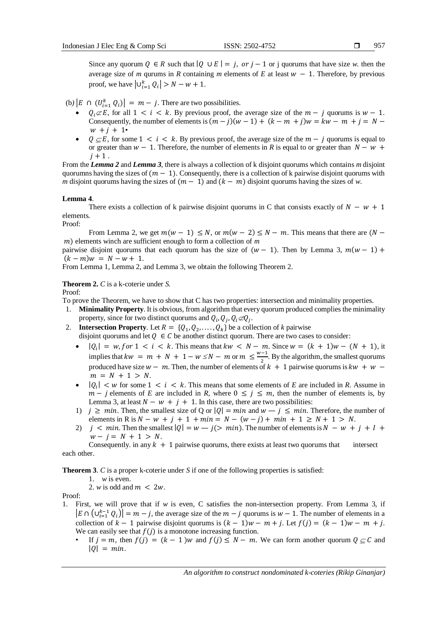Since any quorum  $Q \in R$  such that  $|Q \cup E| = j$ , or  $j - 1$  or j quorums that have size *w*. then the average size of *m* qurums in *R* containing *m* elements of *E* at least  $w - 1$ . Therefore, by previous proof, we have  $|U_{i=1}^k Q_i| > N - w + 1$ .

(b)  $|E \cap (U_{i=1}^k Q_i)| = m - j$ . There are two possibilities.

- $Q_i \not\subset E$ , for all  $1 \le i \le k$ . By previous proof, the average size of the  $m j$  quorums is  $w 1$ . Consequently, the number of elements is  $(m - j)(w - 1) + (k - m + j)w = kw - m + i = N$  $w + i + 1$
- $Q \subseteq E$ , for some  $1 \le i \le k$ . By previous proof, the average size of the  $m j$  quorums is equal to or greater than  $w - 1$ . Therefore, the number of elements in R is equal to or greater than  $N - w +$  $j + 1$ .

From the *Lemma 2* and *Lemma 3*, there is always a collection of k disjoint quorums which contains *m* disjoint quorumns having the sizes of  $(m - 1)$ . Consequently, there is a collection of k pairwise disjoint quorums with *m* disjoint quorums having the sizes of  $(m - 1)$  and  $(k - m)$  disjoint quorums having the sizes of *w*.

## **Lemma 4**.

There exists a collection of k pairwise disjoint quorums in C that consists exactly of  $N - w + 1$ elements.

Proof:

From Lemma 2, we get  $m(w - 1) \le N$ , or  $m(w - 2) \le N - m$ . This means that there are  $(N -$ ) elements winch are sufficient enough to form a collection of *m*

pairwise disjoint quorums that each quorum has the size of  $(w - 1)$ . Then by Lemma 3,  $m(w - 1)$  +  $(k - m)w = N - w + 1.$ 

From Lemma 1, Lemma 2, and Lemma 3, we obtain the following Theorem 2.

**Theorem 2.** *C* is a k-coterie under *S.*

Proof:

To prove the Theorem, we have to show that C has two properties: intersection and minimality properties.

- 1. **Minimality Property**. It is obvious, from algorithm that every quorum produced complies the minimality property, since for two distinct quorums and  $Q_i$ ,  $Q_j$ ,  $Q_i \ll Q_j$ .
- 2. **Intersection Property**. Let  $R = \{Q_1, Q_2, \ldots, Q_k\}$  be a collection of *k* pairwise disjoint quorums and let  $Q \in \mathcal{C}$  be another distinct quorum. There are two cases to consider:
	- $|Q_i| = w$ , for 1 < *i* < *k*. This means that  $kw < N m$ . Since  $w = (k + 1)w (N + 1)$ , it implies that  $kw = m + N + 1 - w \le N - m$  or  $m \le \frac{w-1}{2}$  $\frac{-1}{2}$ . By the algorithm, the smallest quorums produced have size  $w - m$ . Then, the number of elements of  $k + 1$  pairwise quorums is  $kw + w$  $m = N + 1 > N$ .
	- $\cdot$   $|Q_i| < w$  for some  $1 < i < k$ . This means that some elements of *E* are included in *R*. Assume in  $m - j$  elements of *E* are included in *R*, where  $0 \le j \le m$ , then the number of elements is, by Lemma 3, at least  $N - w + j + 1$ . In this case, there are two possibilities:
	- 1)  $j \geq min$ . Then, the smallest size of Q or  $|Q| = min$  and  $w j \leq min$ . Therefore, the number of elements in R is  $N - w + j + 1 + min = N - (w - j) + min + 1 \ge N + 1 > N$ .
	- 2)  $j < min$ . Then the smallest  $|Q| = w j$   $> min$ . The number of elements is  $N w + j + 1 + j$  $w - j = N + 1 > N$ .

Consequently. in any  $k + 1$  pairwise quorums, there exists at least two quorums that intersect each other.

**Theorem 3**. *C* is a proper k-coterie under *S* if one of the following properties is satisfied:

1. *w* is even.

2. *w* is odd and  $m < 2w$ .

Proof:

- 1. First, we will prove that if *w* is even, C satisfies the non-intersection property. From Lemma 3, if  $|E \cap (\bigcup_{i=1}^{k-1} Q_i)| = m - j$ , the average size of the  $m - j$  quorums is  $w - 1$ . The number of elements in a collection of  $k - 1$  pairwise disjoint quorums is  $(k - 1)w - m + j$ . Let  $f(j) = (k - 1)w - m + j$ . We can easily see that  $f(j)$  is a monotone increasing function.
	- If  $j = m$ , then  $f(j) = (k 1)w$  and  $f(j) \le N m$ . We can form another quorum  $Q \subseteq C$  and  $|0| = min$ .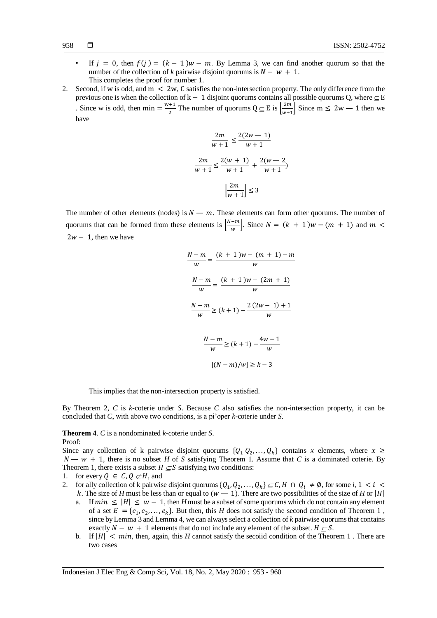- If  $j = 0$ , then  $f(j) = (k 1)w m$ . By Lemma 3, we can find another quorum so that the number of the collection of *k* pairwise disjoint quorums is  $N - w + 1$ . This completes the proof for number 1.
- 2. Second, if w is odd, and m < 2w, C satisfies the non-intersection property. The only difference from the previous one is when the collection of k – 1 disjoint quorums contains all possible quorums Q, where  $\subseteq$  E . Since w is odd, then min =  $\frac{w+1}{2}$  $\frac{1}{2}$  The number of quorums  $Q \subseteq E$  is  $\frac{2m}{w+1}$  $\frac{2m}{w+1}$  Since m  $\leq 2w-1$  then we have

$$
\frac{2m}{w+1} \le \frac{2(2w-1)}{w+1}
$$

$$
\frac{2m}{w+1} \le \frac{2(w+1)}{w+1} + \frac{2(w-2)}{w+1}
$$

$$
\left|\frac{2m}{w+1}\right| \le 3
$$

The number of other elements (nodes) is  $N - m$ . These elements can form other quorums. The number of quorums that can be formed from these elements is  $\frac{N-m}{N}$  $\frac{-m}{w}$ . Since  $N = (k + 1)w - (m + 1)$  and  $m <$  $2w - 1$ , then we have

$$
\frac{N-m}{w} = \frac{(k+1)w - (m+1) - m}{w}
$$

$$
\frac{N-m}{w} = \frac{(k+1)w - (2m+1)}{w}
$$

$$
\frac{N-m}{w} \ge (k+1) - \frac{2(2w-1)+1}{w}
$$

$$
\frac{N-m}{w} \ge (k+1) - \frac{4w-1}{w}
$$

$$
[(N-m)/w] \ge k-3
$$

This implies that the non-intersection property is satisfied.

By Theorem 2, *C* is *k*-coterie under *S*. Because *C* also satisfies the non-intersection property, it can be concluded that *C*, with above two conditions, is a pi'oper *k*-coterie under *S*.

**Theorem 4**. *C* is a nondominated *k*-coterie under *S*. Proof:

Since any collection of k pairwise disjoint quorums  $\{Q_1 \, Q_2, \ldots, Q_k\}$  contains x elements, where  $x \geq$  $N - w + 1$ , there is no subset *H* of *S* satisfying Theorem 1. Assume that *C* is a dominated coterie. By Theorem 1, there exists a subset  $H \subseteq S$  satisfying two conditions:

- 1. for every  $Q \in C$ ,  $Q \not\subset H$ , and
- 2. for ally collection of k pairwise disjoint quorums  $\{Q_1, Q_2, \ldots, Q_k\} \subseteq C$ ,  $H \cap Q_i \neq \emptyset$ , for some  $i, 1 \leq i \leq k$ k. The size of *H* must be less than or equal to  $(w - 1)$ . There are two possibilities of the size of *H* or |*H*|
	- a. If  $min \leq |H| \leq w 1$ , then *H* must be a subset of some quorums which do not contain any element of a set  $E = \{e_1, e_2, \dots, e_k\}$ . But then, this *H* does not satisfy the second condition of Theorem 1, since by Lemma 3 and Lemma 4, we can always select a collection of *k* pairwise quorums that contains exactly  $N - w + 1$  elements that do not include any element of the subset.  $H \subseteq S$ .
	- b. If  $|H| < min$ , then, again, this *H* cannot satisfy the secoiid condition of the Theorem 1. There are two cases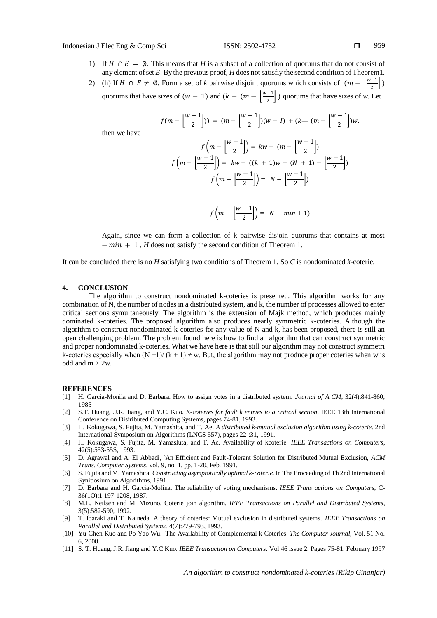then we have

- 1) If  $H \cap E = \emptyset$ . This means that *H* is a subset of a collection of quorums that do not consist of any element of set *E*. By the previous proof, *H* does not satisfiy the second condition of Theorem1.
- 2) (h) If  $H \cap E \neq \emptyset$ . Form a set of *k* pairwise disjoint quorums which consists of  $(m \frac{w-1}{2})$  $\frac{-1}{2}$ ) quorums that have sizes of  $(w - 1)$  and  $(k - (m - \frac{w-1}{2}))$  $\left\lfloor \frac{n-1}{2} \right\rfloor$ ) quorums that have sizes of *w*. Let

$$
f(m - \left\lfloor \frac{w-1}{2} \right\rfloor) = (m - \left\lfloor \frac{w-1}{2} \right\rfloor)(w - 1) + (k - (m - \left\lfloor \frac{w-1}{2} \right\rfloor)w.
$$

$$
f\left(m - \left\lfloor \frac{w-1}{2} \right\rfloor\right) = kw - (m - \left\lfloor \frac{w-1}{2} \right\rfloor)
$$

$$
f\left(m - \left\lfloor \frac{w-1}{2} \right\rfloor\right) = kw - ((k + 1)w - (N + 1) - \left\lfloor \frac{w-1}{2} \right\rfloor)
$$

$$
f\left(m - \left\lfloor \frac{w-1}{2} \right\rfloor\right) = N - \left\lfloor \frac{w-1}{2} \right\rfloor
$$

$$
f\left(m-\left\lfloor\frac{w-1}{2}\right\rfloor\right)=N-min+1)
$$

Again, since we can form a collection of k pairwise disjoin quorums that contains at most  $-min + 1$ , *H* does not satisfy the second condition of Theorem 1.

It can be concluded there is no *H* satisfying two conditions of Theorem 1. So *C* is nondominated *k*-coterie.

#### **4. CONCLUSION**

The algorithm to construct nondominated k-coteries is presented. This algorithm works for any combination of N, the number of nodes in a distributed system, and k, the number of processes allowed to enter critical sections symultaneously. The algorithm is the extension of Majk method, which produces mainly dominated k-coteries. The proposed algorithm also produces nearly symmetric k-coteries. Although the algorithm to construct nondominated k-coteries for any value of N and k, has been proposed, there is still an open challenging problem. The problem found here is how to find an algortihm that can construct symmetric and proper nondominated k-coteries. What we have here is that still our algorithm may not construct symmetri k-coteries especially when  $(N+1)/(k+1) \neq w$ . But, the algorithm may not produce proper coteries when w is odd and  $m > 2w$ .

#### **REFERENCES**

- [1] H. Garcia-Monila and D. Barbara. How to assign votes in a distributed system. *Journal of A CM*, 32(4):841-860, 1985
- [2] S.T. Huang, .J.R. Jiang, and Y.C. Kuo. *K-coteries for fault k entries to a critical section*. IEEE 13th International Conference on Disiributed Computing Systems, pages 74-81, 1993.
- [3] H. Kokugawa, S. Fujita, M. Yamashita, and T. Ae. *A distributed k-mutual exclusion algorithm using k-coterie*. 2nd International Symposium on Algorithms (LNCS 557), pages 22-:31, 1991.
- [4] H. Kokugawa, S. Fujita, M. Yamasluta, and T. Ac. Availability of kcoterie. *IEEE Transactions on Computers*, 42(5):553-55S, 1993.
- [5] D. Agrawal and A. El Abbadi, ªAn Efficient and Fault-Tolerant Solution for Distributed Mutual Exclusion, *ACM Trans. Computer Systems,* vol. 9, no. 1, pp. 1-20, Feb. 1991.
- [6] S. Fujita and M. Yamashita. *Constructing asymptotically optimal k-coterie.* In The Proceeding of Th 2nd International Syniposium on Algorithms, 1991.
- [7] D. Barbara and H. Garcia-Molina. The reliability of voting mechanisms. *IEEE Trans actions on Computers*, C-36(1O):1 197-1208, 1987.
- [8] M.L. Neilsen and M. Mizuno. Coterie join algorithm. *IEEE Transactions on Parallel and Distributed Systems*, 3(5):582-590, 1992.
- [9] T. Ibaraki and T. Kaineda. A theory of coteries: Mutual exclusion in distributed systems. *IEEE Transactions on Parallel and Distributed Systems.* 4(7):779-793, 1993.
- [10] Yu-Chen Kuo and Po-Yao Wu. The Availability of Complemental k-Coteries. *The Computer Journal,* Vol. 51 No. 6, 2008.
- [11] S. T. Huang, J.R. Jiang and Y.C Kuo. *IEEE Transaction on Computers*. Vol 46 issue 2. Pages 75-81. February 1997